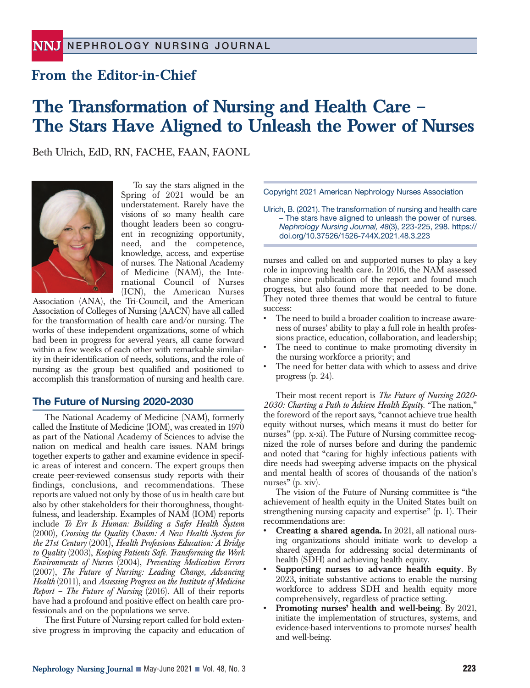## **From the Editor-in-Chief**

# **The Transformation of Nursing and Health Care – The Stars Have Aligned to Unleash the Power of Nurses**

Beth Ulrich, EdD, RN, FACHE, FAAN, FAONL



To say the stars aligned in the Spring of 2021 would be an understatement. Rarely have the visions of so many health care thought leaders been so congruent in recognizing opportunity, need, and the competence, knowledge, access, and expertise of nurses. The National Academy of Medicine (NAM), the International Council of Nurses (ICN), the American Nurses

Association (ANA), the Tri-Council, and the American Association of Colleges of Nursing (AACN) have all called for the transformation of health care and/or nursing. The works of these independent organizations, some of which had been in progress for several years, all came forward within a few weeks of each other with remarkable similarity in their identification of needs, solutions, and the role of nursing as the group best qualified and positioned to accomplish this transformation of nursing and health care.

### **The Future of Nursing 2020-2030**

The National Academy of Medicine (NAM), formerly called the Institute of Medicine (IOM), was created in 1970 as part of the National Academy of Sciences to advise the nation on medical and health care issues. NAM brings together experts to gather and examine evidence in specific areas of interest and concern. The expert groups then create peer-reviewed consensus study reports with their findings, conclusions, and recommendations. These reports are valued not only by those of us in health care but also by other stakeholders for their thoroughness, thoughtfulness, and leadership. Examples of NAM (IOM) reports include *To Err Is Human: Building a Safer Health System* (2000)*, Crossing the Quality Chasm: A New Health System for the 21st Century* (2001), *Health Professions Education: A Bridge to Quality* (2003), *Keeping Patients Safe. Transforming the Work Environments of Nurses* (2004), *Preventing Medication Errors* (2007), *The Future of Nursing: Leading Change, Advancing Health* (2011), and *Assessing Progress on the Institute of Medicine Report – The Future of Nursing* (2016). All of their reports have had a profound and positive effect on health care professionals and on the populations we serve.

The first Future of Nursing report called for bold extensive progress in improving the capacity and education of Copyright 2021 American Nephrology Nurses Association

Ulrich, B. (2021). The transformation of nursing and health care – The stars have aligned to unleash the power of nurses. *Nephrology Nursing Journal, 48*(3), 223-225, 298. https:// doi.org/10.37526/1526-744X.2021.48.3.223

nurses and called on and supported nurses to play a key role in improving health care. In 2016, the NAM assessed change since publication of the report and found much progress, but also found more that needed to be done. They noted three themes that would be central to future success:

- The need to build a broader coalition to increase awareness of nurses' ability to play a full role in health professions practice, education, collaboration, and leadership;
- The need to continue to make promoting diversity in the nursing workforce a priority; and
- The need for better data with which to assess and drive progress (p. 24).

Their most recent report is *The Future of Nursing 2020- 2030: Charting a Path to Achieve Health Equity*. "The nation," the foreword of the report says, "cannot achieve true health equity without nurses, which means it must do better for nurses" (pp. x-xi). The Future of Nursing committee recognized the role of nurses before and during the pandemic and noted that "caring for highly infectious patients with dire needs had sweeping adverse impacts on the physical and mental health of scores of thousands of the nation's nurses" (p. xiv).

The vision of the Future of Nursing committee is "the achievement of health equity in the United States built on strengthening nursing capacity and expertise" (p. 1). Their recommendations are:

- **• Creating a shared agenda.** In 2021, all national nursing organizations should initiate work to develop a shared agenda for addressing social determinants of health (SDH) and achieving health equity.
- **• Supporting nurses to advance health equity**. By 2023, initiate substantive actions to enable the nursing workforce to address SDH and health equity more comprehensively, regardless of practice setting.
- **• Promoting nurses' health and well-being**. By 2021, initiate the implementation of structures, systems, and evidence-based interventions to promote nurses' health and well-being.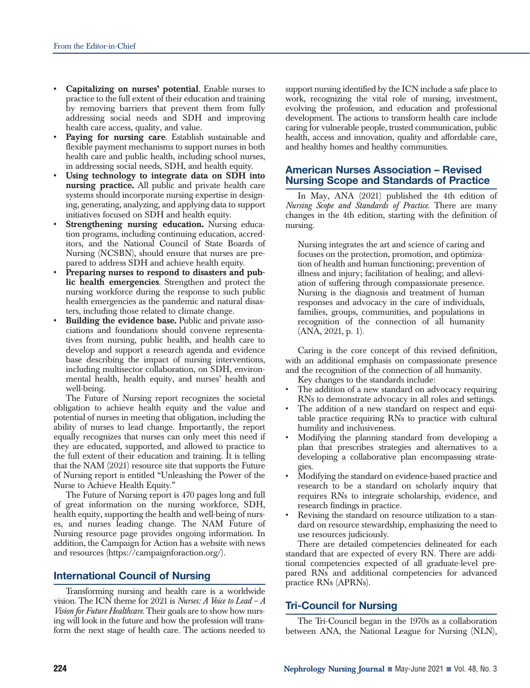- **• Capitalizing on nurses' potential**. Enable nurses to practice to the full extent of their education and training by removing barriers that prevent them from fully addressing social needs and SDH and improving health care access, quality, and value.
- **• Paying for nursing care**. Establish sustainable and flexible payment mechanisms to support nurses in both health care and public health, including school nurses, in addressing social needs, SDH, and health equity.
- **• Using technology to integrate data on SDH into nursing practice.** All public and private health care systems should incorporate nursing expertise in designing, generating, analyzing, and applying data to support initiatives focused on SDH and health equity.
- **Strengthening nursing education.** Nursing education programs, including continuing education, accreditors, and the National Council of State Boards of Nursing (NCSBN), should ensure that nurses are prepared to address SDH and achieve health equity.
- **• Preparing nurses to respond to disasters and public health emergencies**. Strengthen and protect the nursing workforce during the response to such public health emergencies as the pandemic and natural disasters, including those related to climate change.
- **• Building the evidence base.** Public and private associations and foundations should convene representatives from nursing, public health, and health care to develop and support a research agenda and evidence base describing the impact of nursing interventions, including multisector collaboration, on SDH, environmental health, health equity, and nurses' health and well-being.

The Future of Nursing report recognizes the societal obligation to achieve health equity and the value and potential of nurses in meeting that obligation, including the ability of nurses to lead change. Importantly, the report equally recognizes that nurses can only meet this need if they are educated, supported, and allowed to practice to the full extent of their education and training. It is telling that the NAM (2021) resource site that supports the Future of Nursing report is entitled "Unleashing the Power of the Nurse to Achieve Health Equity."

The Future of Nursing report is 470 pages long and full of great information on the nursing workforce, SDH, health equity, supporting the health and well-being of nurses, and nurses leading change. The NAM Future of Nursing resource page provides ongoing information. In addition, the Campaign for Action has a website with news and resources (https://campaignforaction.org/).

#### **International Council of Nursing**

Transforming nursing and health care is a worldwide vision. The ICN theme for 2021 is *Nurses: A Voice to Lead – A Vision for Future Healthcare*. Their goals are to show how nursing will look in the future and how the profession will transform the next stage of health care. The actions needed to support nursing identified by the ICN include a safe place to work, recognizing the vital role of nursing, investment, evolving the profession, and education and professional development. The actions to transform health care include caring for vulnerable people, trusted communication, public health, access and innovation, quality and affordable care, and healthy homes and healthy communities.

#### **American Nurses Association – Revised Nursing Scope and Standards of Practice**

In May, ANA (2021) published the 4th edition of *Nursing Scope and Standards of Practice*. There are many changes in the 4th edition, starting with the definition of nursing.

Nursing integrates the art and science of caring and focuses on the protection, promotion, and optimization of health and human functioning; prevention of illness and injury; facilitation of healing; and alleviation of suffering through compassionate presence. Nursing is the diagnosis and treatment of human responses and advocacy in the care of individuals, families, groups, communities, and populations in recognition of the connection of all humanity (ANA, 2021, p. 1).

Caring is the core concept of this revised definition, with an additional emphasis on compassionate presence and the recognition of the connection of all humanity.

- Key changes to the standards include: The addition of a new standard on advocacy requiring
- RNs to demonstrate advocacy in all roles and settings.
- The addition of a new standard on respect and equitable practice requiring RNs to practice with cultural humility and inclusiveness.
- Modifying the planning standard from developing a plan that prescribes strategies and alternatives to a developing a collaborative plan encompassing strategies.
- Modifying the standard on evidence-based practice and research to be a standard on scholarly inquiry that requires RNs to integrate scholarship, evidence, and research findings in practice.
- Revising the standard on resource utilization to a standard on resource stewardship, emphasizing the need to use resources judiciously.

There are detailed competencies delineated for each standard that are expected of every RN. There are additional competencies expected of all graduate-level prepared RNs and additional competencies for advanced practice RNs (APRNs).

#### **Tri-Council for Nursing**

The Tri-Council began in the 1970s as a collaboration between ANA, the National League for Nursing (NLN),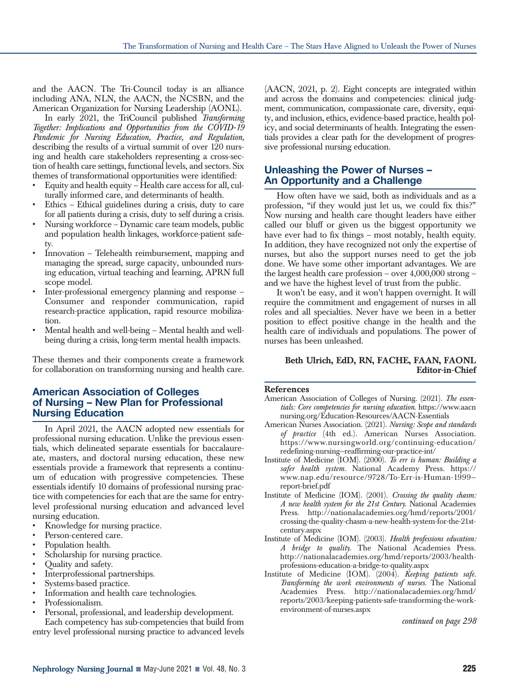and the AACN. The Tri-Council today is an alliance including ANA, NLN, the AACN, the NCSBN, and the American Organization for Nursing Leadership (AONL).

In early 2021, the TriCouncil published *Transforming Together: Implications and Opportunities from the COVID-19 Pandemic for Nursing Education, Practice, and Regulation,* describing the results of a virtual summit of over 120 nursing and health care stakeholders representing a cross-section of health care settings, functional levels, and sectors. Six themes of transformational opportunities were identified:

- Equity and health equity Health care access for all, culturally informed care, and determinants of health.
- Ethics Ethical guidelines during a crisis, duty to care for all patients during a crisis, duty to self during a crisis.
- Nursing workforce Dynamic care team models, public and population health linkages, workforce-patient safety.
- Innovation Telehealth reimbursement, mapping and managing the spread, surge capacity, unbounded nursing education, virtual teaching and learning, APRN full scope model.
- Inter-professional emergency planning and response Consumer and responder communication, rapid research-practice application, rapid resource mobilization.
- Mental health and well-being Mental health and wellbeing during a crisis, long-term mental health impacts.

These themes and their components create a framework for collaboration on transforming nursing and health care.

#### **American Association of Colleges of Nursing – New Plan for Professional Nursing Education**

In April 2021, the AACN adopted new essentials for professional nursing education. Unlike the previous essentials, which delineated separate essentials for baccalaureate, masters, and doctoral nursing education, these new essentials provide a framework that represents a continuum of education with progressive competencies. These essentials identify 10 domains of professional nursing practice with competencies for each that are the same for entrylevel professional nursing education and advanced level nursing education.

- Knowledge for nursing practice.
- Person-centered care.
- Population health.
- Scholarship for nursing practice.
- Quality and safety.
- Interprofessional partnerships.
- Systems-based practice.
- Information and health care technologies.
- Professionalism.
- Personal, professional, and leadership development. Each competency has sub-competencies that build from

entry level professional nursing practice to advanced levels

(AACN, 2021, p. 2). Eight concepts are integrated within and across the domains and competencies: clinical judgment, communication, compassionate care, diversity, equity, and inclusion, ethics, evidence-based practice, health policy, and social determinants of health. Integrating the essentials provides a clear path for the development of progressive professional nursing education.

#### **Unleashing the Power of Nurses – An Opportunity and a Challenge**

How often have we said, both as individuals and as a profession, "if they would just let us, we could fix this?" Now nursing and health care thought leaders have either called our bluff or given us the biggest opportunity we have ever had to fix things – most notably, health equity. In addition, they have recognized not only the expertise of nurses, but also the support nurses need to get the job done. We have some other important advantages. We are the largest health care profession – over 4,000,000 strong – and we have the highest level of trust from the public.

It won't be easy, and it won't happen overnight. It will require the commitment and engagement of nurses in all roles and all specialties. Never have we been in a better position to effect positive change in the health and the health care of individuals and populations. The power of nurses has been unleashed.

#### **Beth Ulrich, EdD, RN, FACHE, FAAN, FAONL Editor-in-Chief**

#### **References**

- American Association of Colleges of Nursing. (2021). *The essentials: Core competencies for nursing education.* https://www.aacn nursing.org/Education-Resources/AACN-Essentials
- American Nurses Association. (2021). *Nursing: Scope and standards of practice* (4th ed.). American Nurses Association. https://www.nursingworld.org/continuing-education/ redefining-nursing—reaffirming-our-practice-int/
- Institute of Medicine (IOM). (2000). *To err is human: Building a safer health system.* National Academy Press. https:// www.nap.edu/resource/9728/To-Err-is-Human-1999 report-brief.pdf
- Institute of Medicine (IOM). (2001). *Crossing the quality chasm: A new health system for the 21st Century*. National Academies Press. http://nationalacademies.org/hmd/reports/2001/ crossing-the-quality-chasm-a-new-health-system-for-the-21stcentury.aspx
- Institute of Medicine (IOM). (2003). *Health professions education: A bridge to quality.* The National Academies Press. http://nationalacademies.org/hmd/reports/2003/healthprofessions-education-a-bridge-to-quality.aspx
- Institute of Medicine (IOM). (2004). *Keeping patients safe. Transforming the work environments of nurses.* The National Academies Press. http://nationalacademies.org/hmd/ reports/2003/keeping-patients-safe-transforming-the-workenvironment-of-nurses.aspx

*continued on page 298*